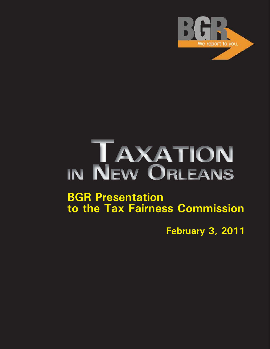

# IN NEW ORLEANS

# **BGR Presentation to the Tax Fairness Commission**

**February 3, 2011**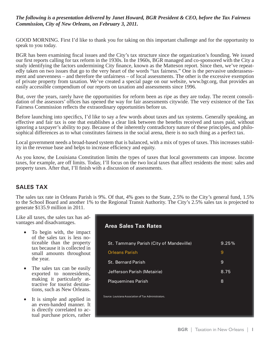#### *The following is a presentation delivered by Janet Howard, BGR President & CEO, before the Tax Fairness Commission, City of New Orleans, on February 3, 2011.*

GOOD MORNING. First I'd like to thank you for taking on this important challenge and for the opportunity to speak to you today.

BGR has been examining fiscal issues and the City's tax structure since the organization's founding. We issued our first reports calling for tax reform in the 1930s. In the 1960s, BGR managed and co-sponsored with the City a study identifying the factors undermining City finance, known as the Matteson report. Since then, we've repeatedly taken on two issues that go to the very heart of the words "tax fairness." One is the pervasive underassessment and unevenness – and therefore the unfairness – of local assessments. The other is the excessive exemption of private property from taxation. We've created a special page on our website, www.bgr.org, that provides an easily accessible compendium of our reports on taxation and assessments since 1996.

But, over the years, rarely have the opportunities for reform been as ripe as they are today. The recent consolidation of the assessors' offices has opened the way for fair assessments citywide. The very existence of the Tax Fairness Commission reflects the extraordinary opportunities before us.

Before launching into specifics, I'd like to say a few words about taxes and tax systems. Generally speaking, an effective and fair tax is one that establishes a clear link between the benefits received and taxes paid, without ignoring a taxpayer's ability to pay. Because of the inherently contradictory nature of these principles, and philosophical differences as to what constitutes fairness in the social arena, there is no such thing as a perfect tax.

Local government needs a broad-based system that is balanced, with a mix of types of taxes. This increases stability in the revenue base and helps to increase efficiency and equity.

As you know, the Louisiana Constitution limits the types of taxes that local governments can impose. Income taxes, for example, are off limits. Today, I'll focus on the two local taxes that affect residents the most: sales and property taxes. After that, I'll finish with a discussion of assessments.

## **SALES TAX**

The sales tax rate in Orleans Parish is 9%. Of that, 4% goes to the State, 2.5% to the City's general fund, 1.5% to the School Board and another 1% to the Regional Transit Authority. The City's 2.5% sales tax is projected to generate \$135.9 million in 2011.

Like all taxes, the sales tax has advantages and disadvantages.

- To begin with, the impact of the sales tax is less noticeable than the property tax because it is collected in small amounts throughout the year.
- The sales tax can be easily exported to nonresidents, making it particularly attractive for tourist destinations, such as New Orleans.
- It is simple and applied in an even-handed manner. It is directly correlated to actual purchase prices, rather

| <b>Area Sales Tax Rates</b>                          |       |
|------------------------------------------------------|-------|
| St. Tammany Parish (City of Mandeville)              | 9.25% |
| <b>Orleans Parish</b>                                | 9     |
| <b>St. Bernard Parish</b>                            | 9     |
| Jefferson Parish (Metairie)                          | 8.75  |
| <b>Plaquemines Parish</b>                            | 8     |
| Source: Louisiana Association of Tax Administrators. |       |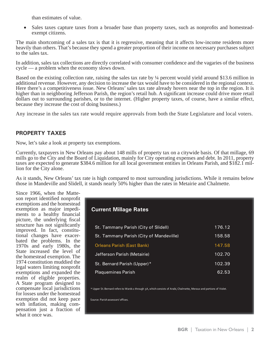than estimates of value.

• Sales taxes capture taxes from a broader base than property taxes, such as nonprofits and homesteadexempt citizens.

The main shortcoming of a sales tax is that it is regressive, meaning that it affects low-income residents more heavily than others. That's because they spend a greater proportion of their income on necessary purchases subject to the sales tax.

In addition, sales tax collections are directly correlated with consumer confidence and the vagaries of the business cycle — a problem when the economy slows down.

Based on the existing collection rate, raising the sales tax rate by ¼ percent would yield around \$13.6 million in additional revenue. However, any decision to increase the tax would have to be considered in the regional context. Here there's a competitiveness issue. New Orleans' sales tax rate already hovers near the top in the region. It is higher than in neighboring Jefferson Parish, the region's retail hub. A significant increase could drive more retail dollars out to surrounding parishes, or to the internet. (Higher property taxes, of course, have a similar effect, because they increase the cost of doing business.)

Any increase in the sales tax rate would require approvals from both the State Legislature and local voters.

#### **PROPERTY TAXES**

Now, let's take a look at property tax exemptions.

Currently, taxpayers in New Orleans pay about 148 mills of property tax on a citywide basis. Of that millage, 69 mills go to the City and the Board of Liquidation, mainly for City operating expenses and debt. In 2011, property taxes are expected to generate \$384.6 million for all local government entities in Orleans Parish, and \$182.1 million for the City alone.

As it stands, New Orleans' tax rate is high compared to most surrounding jurisdictions. While it remains below those in Mandeville and Slidell, it stands nearly 50% higher than the rates in Metairie and Chalmette.

Since 1966, when the Matteson report identified nonprofit exemptions and the homestead exemption as major impediments to a healthy financial picture, the underlying fiscal structure has not significantly improved. In fact, constitutional changes have exacerbated the problems. In the 1970s and early 1980s, the State increased the level of the homestead exemption. The 1974 constitution muddied the legal waters limiting nonprofit exemptions and expanded the realm of eligible properties. A State program designed to compensate local jurisdictions for losses under the homestead exemption did not keep pace with inflation, making compensation just a fraction of what it once was.

#### **Current Millage Rates**

| St. Tammany Parish (City of Slidell)    | 176.12 |
|-----------------------------------------|--------|
| St. Tammany Parish (City of Mandeville) | 158.58 |
| <b>Orleans Parish (East Bank)</b>       | 147.58 |
| Jefferson Parish (Metairie)             | 102.70 |
| St. Bernard Parish (Upper)*             | 102.39 |
| <b>Plaquemines Parish</b>               | 62.53  |

\* Upper St. Bernard refers to Wards 1 through 5A, which consists of Arabi, Chalmette, Meraux and portions of Violet.

Source: Parish assessors' offices.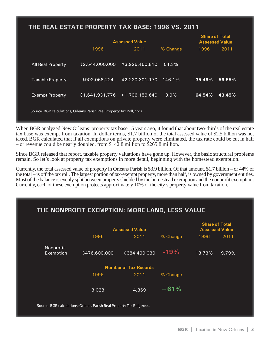# **THE REAL ESTATE PROPERTY TAX BASE: 1996 VS. 2011**

|                                                                        | <b>Assessed Value</b> |                 |          | <b>Share of Total</b><br><b>Assessed Value</b> |        |  |
|------------------------------------------------------------------------|-----------------------|-----------------|----------|------------------------------------------------|--------|--|
|                                                                        | 1996                  | 2011            | % Change | 1996                                           | 2011   |  |
| <b>All Real Property</b>                                               | \$2,544,000,000       | \$3,926,460,810 | 54.3%    |                                                |        |  |
| <b>Taxable Property</b>                                                | \$902,068,224         | \$2,220,301,170 | 146.1%   | 35.46%                                         | 56.55% |  |
| <b>Exempt Property</b>                                                 | \$1,641,931,776       | \$1,706,159,640 | 3.9%     | 64.54%                                         | 43.45% |  |
| Source: BGR calculations; Orleans Parish Real Property Tax Roll, 2011. |                       |                 |          |                                                |        |  |

When BGR analyzed New Orleans' property tax base 15 years ago, it found that about two-thirds of the real estate tax base was exempt from taxation. In dollar terms, \$1.7 billion of the total assessed value of \$2.5 billion was not taxed. BGR calculated that if all exemptions on private property were eliminated, the tax rate could be cut in half – or revenue could be nearly doubled, from \$142.8 million to \$265.8 million.

Since BGR released that report, taxable property valuations have gone up. However, the basic structural problems remain. So let's look at property tax exemptions in more detail, beginning with the homestead exemption.

Currently, the total assessed value of property in Orleans Parish is \$3.9 billion. Of that amount, \$1.7 billion – or 44% of the total – is off the tax roll. The largest portion of tax-exempt property, more than half, is owned by government entities. Most of the balance is evenly split between property shielded by the homestead exemption and the nonprofit exemption. Currently, each of these exemption protects approximately 10% of the city's property value from taxation.

# **THE NONPROFIT EXEMPTION: MORE LAND, LESS VALUE**

|                                                                        | <b>Assessed Value</b> |               |          | <b>Share of Total</b><br><b>Assessed Value</b> |       |  |
|------------------------------------------------------------------------|-----------------------|---------------|----------|------------------------------------------------|-------|--|
|                                                                        | 1996                  | 2011          | % Change | 1996                                           | 2011  |  |
| Nonprofit<br>Exemption                                                 | \$476,600,000         | \$384,490,030 | $-19%$   | 18.73%                                         | 9.79% |  |
| <b>Number of Tax Records</b>                                           |                       |               |          |                                                |       |  |
|                                                                        | 1996                  | 2011          | % Change |                                                |       |  |
|                                                                        | 3,028                 | 4,869         | $+61%$   |                                                |       |  |
| Source: BGR calculations; Orleans Parish Real Property Tax Roll, 2011. |                       |               |          |                                                |       |  |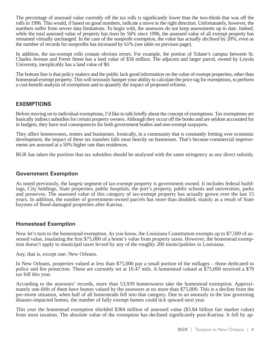The percentage of assessed value currently off the tax rolls is significantly lower than the two-thirds that was off the rolls in 1996. This would, if based on good numbers, indicate a move in the right direction. Unfortunately, however, the numbers suffer from severe data limitations. To begin with, the assessors do not keep assessments up to date. Indeed, while the total assessed value of property has risen by 56% since 1996, the assessed value of all exempt property has remained virtually unchanged. In the case of the nonprofi t exemption, the value has actually *declined* by 20%, even as the number of records for nonprofits has increased by  $61\%$  (see table on previous page).

In addition, the tax-exempt rolls contain obvious errors. For example, the portion of Tulane's campus between St. Charles Avenue and Freret Street has a land value of \$58 million. The adjacent and larger parcel, owned by Loyola University, inexplicably has a land value of \$0.

The bottom line is that policy makers and the public lack good information on the value of exempt properties, other than homestead-exempt property. This will seriously hamper your ability to calculate the price tag for exemptions, to perform a cost-benefi t analysis of exemptions and to quantify the impact of proposed reforms.

#### **EXEMPTIONS**

Before moving on to individual exemptions, I'd like to talk briefly about the concept of exemptions. Tax exemptions are basically indirect subsidies for certain property owners. Although they occur off the books and are seldom accounted for in budgets, they have real consequences for both government bodies and non-exempt taxpayers.

They affect homeowners, renters and businesses. Ironically, in a community that is constantly fretting over economic development, the impact of these tax transfers falls most heavily on businesses. That's because commercial improvements are assessed at a 50% higher rate than residences.

BGR has taken the position that tax subsidies should be analyzed with the same stringency as any direct subsidy.

#### **Government Exemption**

As noted previously, the largest segment of tax-exempt property is government owned. It includes federal buildings, City holdings, State properties, public hospitals, the port's property, public schools and universities, parks and preserves. The assessed value of this category of tax-exempt property has actually grown over the last 15 years. In addition, the number of government-owned parcels has more than doubled, mainly as a result of State buyouts of flood-damaged properties after Katrina.

#### **Homestead Exemption**

Now let's turn to the homestead exemption. As you know, the Louisiana Constitution exempts up to \$7,500 of assessed value, insulating the first \$75,000 of a home's value from property taxes. However, the homestead exemption doesn't apply to municipal taxes levied by any of the roughly 200 municipalities in Louisiana.

Any, that is, except one: New Orleans.

In New Orleans, properties valued at less than \$75,000 pay a small portion of the millages – those dedicated to police and fire protection. These are currently set at 10.47 mils. A homestead valued at \$75,000 received a \$79 tax bill this year.

According to the assessors' records, more than 53,939 homeowners take the homestead exemption. Approximately one-fifth of them have homes valued by the assessors at no more than \$75,000. This is a decline from the pre-storm situation, when half of all homesteads fell into that category. Due to an anomaly in the law governing disaster-impacted homes, the number of fully exempt homes could tick upward next year.

This year the homestead exemption shielded \$384 million of assessed value (\$3.84 billion fair market value) from most taxation. The absolute value of the exemption has declined significantly post-Katrina: It fell by ap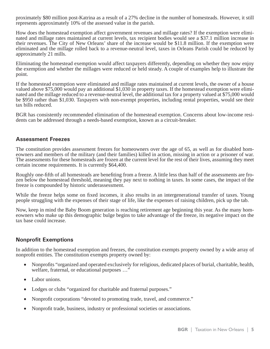proximately \$80 million post-Katrina as a result of a 27% decline in the number of homesteads. However, it still represents approximately 10% of the assessed value in the parish.

How does the homestead exemption affect government revenues and millage rates? If the exemption were eliminated and millage rates maintained at current levels, tax recipient bodies would see a \$37.1 million increase in their revenues. The City of New Orleans' share of the increase would be \$11.8 million. If the exemption were eliminated and the millage rolled back to a revenue-neutral level, taxes in Orleans Parish could be reduced by approximately 21 mills.

Eliminating the homestead exemption would affect taxpayers differently, depending on whether they now enjoy the exemption and whether the millages were reduced or held steady. A couple of examples help to illustrate the point.

If the homestead exemption were eliminated and millage rates maintained at current levels, the owner of a house valued above \$75,000 would pay an additional \$1,030 in property taxes. If the homestead exemption were eliminated and the millage reduced to a revenue-neutral level, the additional tax for a property valued at \$75,000 would be \$950 rather than \$1,030. Taxpayers with non-exempt properties, including rental properties, would see their tax bills reduced.

BGR has consistently recommended elimination of the homestead exemption. Concerns about low-income residents can be addressed through a needs-based exemption, known as a circuit-breaker.

#### **Assessment Freezes**

The constitution provides assessment freezes for homeowners over the age of 65, as well as for disabled homeowners and members of the military (and their families) killed in action, missing in action or a prisoner of war. The assessments for these homesteads are frozen at the current level for the rest of their lives, assuming they meet certain income requirements. It is currently \$64,400.

Roughly one-fifth of all homesteads are benefiting from a freeze. A little less than half of the assessments are frozen below the homestead threshold, meaning they pay next to nothing in taxes. In some cases, the impact of the freeze is compounded by historic underassessment.

While the freeze helps some on fixed incomes, it also results in an intergenerational transfer of taxes. Young people struggling with the expenses of their stage of life, like the expenses of raising children, pick up the tab.

Now, keep in mind the Baby Boom generation is reaching retirement age beginning this year. As the many homeowners who make up this demographic bulge begins to take advantage of the freeze, its negative impact on the tax base could increase.

#### **Nonprofit Exemptions**

In addition to the homestead exemption and freezes, the constitution exempts property owned by a wide array of nonprofit entities. The constitution exempts property owned by:

- Nonprofits "organized and operated exclusively for religious, dedicated places of burial, charitable, health, welfare, fraternal, or educational purposes …"
- Labor unions.
- Lodges or clubs "organized for charitable and fraternal purposes."
- Nonprofit corporations "devoted to promoting trade, travel, and commerce."
- Nonprofit trade, business, industry or professional societies or associations.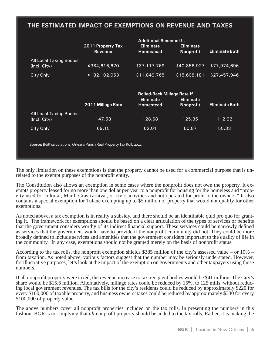# **THE ESTIMATED IMPACT OF EXEMPTIONS ON REVENUE AND TAXES**

|                                                                        | <b>Additional Revenue If</b>                                                                                                                                     |                                      |                                      |                       |  |  |
|------------------------------------------------------------------------|------------------------------------------------------------------------------------------------------------------------------------------------------------------|--------------------------------------|--------------------------------------|-----------------------|--|--|
|                                                                        | 2011 Property Tax<br><b>Revenue</b>                                                                                                                              | <b>Eliminate</b><br><b>Homestead</b> | <b>Eliminate</b><br><b>Nonprofit</b> | <b>Eliminate Both</b> |  |  |
| <b>All Local Taxing Bodies</b><br>(Incl. City)                         | \$384,616,670                                                                                                                                                    | \$37,117,769                         | \$40,856,927                         | \$77,974,696          |  |  |
| City Only                                                              | \$182,102,053                                                                                                                                                    | \$11,849,765                         | \$15,608,181                         | \$27,457,946          |  |  |
|                                                                        | <b>Rolled-Back Millage Rate If</b><br><b>Eliminate</b><br><b>Eliminate</b><br>2011 Millage Rate<br><b>Eliminate Both</b><br><b>Nonprofit</b><br><b>Homestead</b> |                                      |                                      |                       |  |  |
| All Local Taxing Bodies<br>(Incl. City)                                | 147.58                                                                                                                                                           | 128.68                               | 125.35                               | 112.92                |  |  |
| City Only                                                              | 69.15                                                                                                                                                            | 62.01                                | 60.87                                | 55.33                 |  |  |
| Source: BGR calculations; Orleans Parish Real Property Tax Roll, 2011. |                                                                                                                                                                  |                                      |                                      |                       |  |  |

The only limitation on these exemptions is that the property cannot be used for a commercial purpose that is unrelated to the exempt purposes of the nonprofit entity.

The Constitution also allows an exemption in some cases where the nonprofit does not own the property. It exempts property leased for no more than one dollar per year to a nonprofit for housing for the homeless and "property used for cultural, Mardi Gras carnival, or civic activities and not operated for profit to the owners." It also contains a special exemption for Tulane exempting up to \$5 million of property that would not qualify for other exemptions.

As noted above, a tax exemption is in reality a subsidy, and there should be an identifiable quid pro quo for granting it. The framework for exemptions should be based on a clear articulation of the types of services or benefits that the government considers worthy of its indirect financial support. These services could be narrowly defined as services that the government would have to provide if the nonprofit community did not. They could be more broadly defined to include services and amenities that the government considers important to the quality of life in the community. In any case, exemptions should not be granted merely on the basis of nonprofit status.

According to the tax rolls, the nonprofit exemption shields \$385 million of the city's assessed value – or  $10\%$  – from taxation. As noted above, various factors suggest that the number may be seriously understated. However, for illustrative purposes, let's look at the impact of the exemption on governments and other taxpayers using those numbers.

If all nonprofit property were taxed, the revenue increase to tax-recipient bodies would be \$41 million. The City's share would be \$15.6 million. Alternatively, millage rates could be reduced by 15%, to 125 mills, without reducing local government revenues. The tax bills for the city's residents could be reduced by approximately \$220 for every \$100,000 of taxable property, and business owners' taxes could be reduced by approximately \$330 for every \$100,000 of property value.

The above numbers cover all nonprofit properties included on the tax rolls. In presenting the numbers in this fashion, BGR is not implying that *all* nonprofit property should be added to the tax rolls. Rather, it is making the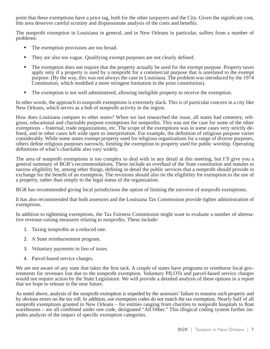point that these exemptions have a price tag, both for the other taxpayers and the City. Given the significant cost, this area deserves careful scrutiny and dispassionate analysis of the costs and benefits.

The nonprofit exemption in Louisiana in general, and in New Orleans in particular, suffers from a number of problems:

- The exemption provisions are too broad.
- They are also too vague. Qualifying exempt purposes are not clearly defined.
- The exemption does not require that the property actually be used for the exempt purpose. Property taxes apply only if a property is used by a nonprofit for a commercial purpose that is unrelated to the exempt purpose. (By the way, this was not always the case in Louisiana. The problem was introduced by the 1974 Constitution, which modified a more stringent limitation in the prior constitution).
- The exemption is not well administered, allowing ineligible property to receive the exemption.

In other words, the approach to nonprofit exemptions is extremely slack. This is of particular concern in a city like New Orleans, which serves as a hub of nonprofit activity in the region.

How does Louisiana compare to other states? When we last researched the issue, all states had cemetery, religious, educational and charitable purpose exemptions for nonprofits. This was not the case for some of the other exemptions – fraternal, trade organizations, etc. The scope of the exemptions was in some cases very strictly defined, and in other cases left wide open to interpretation. For example, the definition of religious purpose varies considerably. While some states exempt property used for religious organizations for a range of diverse purposes, others define religious purposes narrowly, limiting the exemption to property used for public worship. Operating definitions of what's charitable also vary widely.

The area of nonprofit exemptions is too complex to deal with in any detail at this meeting, but I'll give you a general summary of BGR's recommendations. These include an overhaul of the State constitution and statutes to narrow eligibility by, among other things, defining in detail the public services that a nonprofit should provide in exchange for the benefit of an exemption. The revisions should also tie the eligibility for exemption to the use of a property, rather than simply to the legal status of the organization.

BGR has recommended giving local jurisdictions the option of limiting the universe of nonprofit exemptions.

It has also recommended that both assessors and the Louisiana Tax Commission provide tighter administration of exemptions.

In addition to tightening exemptions, the Tax Fairness Commission might want to evaluate a number of alternative revenue-raising measures relating to nonprofits. These include:

- 1. Taxing nonprofits at a reduced rate.
- 2. A State reimbursement program.
- 3. Voluntary payments in lieu of taxes.
- 4. Parcel-based service charges.

We are not aware of any state that takes the first tack. A couple of states have programs to reimburse local governments for revenues lost due to the nonprofit exemption. Voluntary PILOTs and parcel-based service charges would not require action by the State Legislature. We will provide a detailed analysis of these options in a report that we hope to release in the near future.

As noted above, analysis of the nonprofit exemption is impeded by the assessors' failure to reassess such property and by obvious errors on the tax roll. In addition, use exemption codes do not match the tax exemption. Nearly half of all nonprofit exemptions granted in New Orleans – for entities ranging from charities to nonprofit hospitals to float warehouses – are all combined under one code, designated "All Other." This illogical coding system further impedes analysis of the impact of specific exemption categories.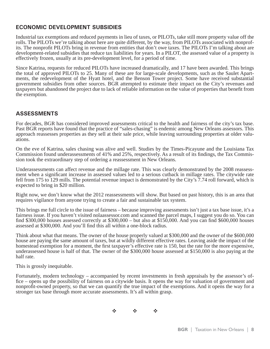### **ECONOMIC DEVELOPMENT SUBSIDIES**

Industrial tax exemptions and reduced payments in lieu of taxes, or PILOTs, take still more property value off the rolls. The PILOTs we're talking about here are quite different, by the way, from PILOTs associated with nonprofits. The nonprofit PILOTs bring in revenue from entities that don't owe taxes. The PILOTs I'm talking about are development-related subsidies that reduce tax liabilities for years. In a PILOT, the assessed value of a property is effectively frozen, usually at its pre-development level, for a period of time.

Since Katrina, requests for reduced PILOTs have increased dramatically, and 17 have been awarded. This brings the total of approved PILOTs to 25. Many of these are for large-scale developments, such as the Saulet Apartments, the redevelopment of the Hyatt hotel, and the Benson Tower project. Some have received substantial government subsidies from other sources. BGR attempted to estimate their impact on the City's revenues and taxpayers but abandoned the project due to lack of reliable information on the value of properties that benefi t from the exemption.

#### **ASSESSMENTS**

For decades, BGR has considered improved assessments critical to the health and fairness of the city's tax base. Past BGR reports have found that the practice of "sales-chasing" is endemic among New Orleans assessors. This approach reassesses properties as they sell at their sale price, while leaving surrounding properties at older valuations.

On the eve of Katrina, sales chasing was alive and well. Studies by the Times-Picayune and the Louisiana Tax Commission found underassessments of 41% and 25%, respectively. As a result of its findings, the Tax Commission took the extraordinary step of ordering a reassessment in New Orleans.

Underassessments can affect revenue and the millage rate. This was clearly demonstrated by the 2008 reassessment when a significant increase in assessed values led to a serious cutback in millage rates. The citywide rate fell from 175 to 129 mills. The potential revenue impact is demonstrated by the City's 7.74 roll forward, which is expected to bring in \$20 million.

Right now, we don't know what the 2012 reassessments will show. But based on past history, this is an area that requires vigilance from anyone trying to create a fair and sustainable tax system.

This brings me full circle to the issue of fairness – because improving assessments isn't just a tax base issue, it's a fairness issue. If you haven't visited nolaassessor.com and scanned the parcel maps, I suggest you do so. You can find \$300,000 houses assessed correctly at  $$300,000 -$  but also at \$150,000. And you can find \$600,000 houses assessed at \$300,000. And you'll find this all within a one-block radius.

Think about what that means. The owner of the house properly valued at \$300,000 and the owner of the \$600,000 house are paying the same amount of taxes, but at wildly different effective rates. Leaving aside the impact of the homestead exemption for a moment, the first taxpayer's effective rate is 150, but the rate for the more expensive, underassessed house is half of that. The owner of the \$300,000 house assessed at \$150,000 is also paying at the half rate.

This is grossly inequitable.

Fortunately, modern technology – accompanied by recent investments in fresh appraisals by the assessor's office – opens up the possibility of fairness on a citywide basis. It opens the way for valuation of government and nonprofit-owned property, so that we can quantify the true impact of the exemptions. And it opens the way for a stronger tax base through more accurate assessments. It's all within grasp.

 $\Phi_1 = \Phi_2 = \Phi_3 = \Phi_4$